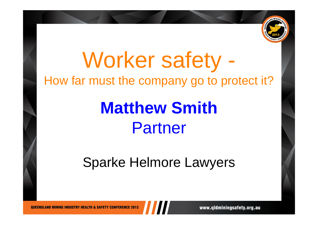

## Worker safety - How far must the company go to protect it?

## **Matthew Smith** Partner

### Sparke Helmore Lawyers

**OUEENSLAND MINING INDUSTRY HEALTH & SAFETY CONFERENCE 2013** 

www.qldminingsafety.org.au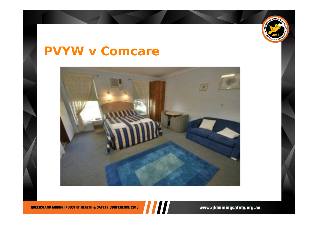

#### *PVYW v Comcare*



QUEENSLAND MINING INDUSTRY HEALTH & SAFETY CONFERENCE 2013

www.qldminingsafety.org.au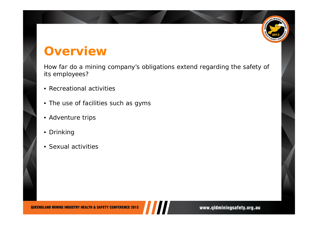# $MINI<sub>A</sub>$

#### **Overview**

How far do a mining company's obligations extend regarding the safety of its employees?

- $\bullet$ Recreational activities
- The use of facilities such as gyms
- Adventure trips
- Drinking
- Sexual activities

**QUEENSLAND MINING INDUSTRY HEALTH & SAFETY CONFERENCE 2013**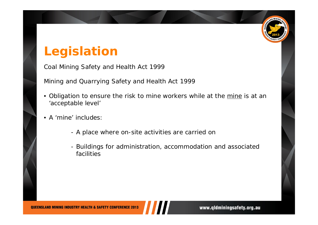#### **Legislation**

*Coal Mining Safety and Health Act 1999*

*Mining and Quarrying Safety and Health Act 1999*

- •Obligation to ensure the risk to mine workers while at the mine is at an 'acceptable level'
- • A 'mine' includes:
	- A place where on-site activities are carried on
	- Buildings for administration, accommodation and associated facilities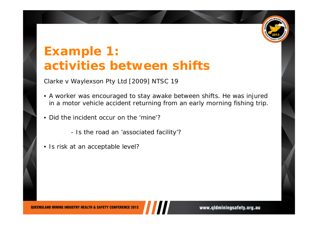

#### **Example 1: activities between shifts**

*Clarke v Waylexson Pty Ltd* [2009] NTSC 19

- A worker was encouraged to stay awake between shifts. He was injured in a motor vehicle accident returning from an early morning fishing trip.
- • Did the incident occur on the 'mine'?
	- Is the road an 'associated facility'?
- Is risk at an acceptable level?

**OUEENSLAND MINING INDUSTRY HEALTH & SAFETY CONFERENCE 2013**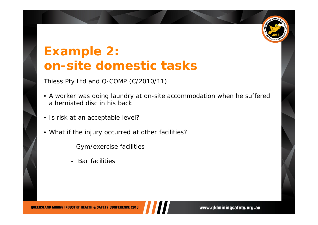

#### **Example 2: on-site domestic tasks**

*Thiess Pty Ltd and Q-COMP* (C/2010/11)

- A worker was doing laundry at on-site accommodation when he suffered a herniated disc in his back.
- Is risk at an acceptable level?
- What if the injury occurred at other facilities?
	- Gym/exercise facilities
	- -Bar facilities

**OUEENSLAND MINING INDUSTRY HEALTH & SAFETY CONFERENCE 2013** 

www.qldminingsafety.org.au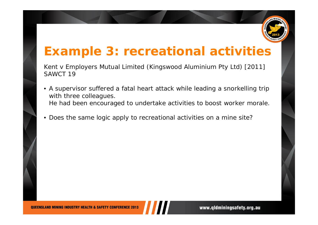

#### **Example 3: recreational activities**

*Kent v Employers Mutual Limited (Kingswood Aluminium Pty Ltd)* [2011] SAWCT 19

- $\bullet$  A supervisor suffered a fatal heart attack while leading a snorkelling trip with three colleagues. He had been encouraged to undertake activities to boost worker morale.
- •Does the same logic apply to recreational activities on a mine site?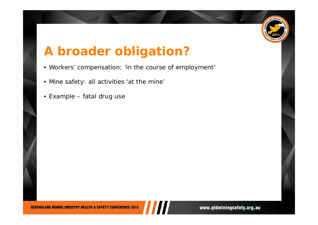

#### **A broader obligation?**

- Workers' compensation: '*in the course of employment'*
- $\bullet$ Mine safety: all activities *'at the mine'*
- $\bullet$ Example – fatal drug use